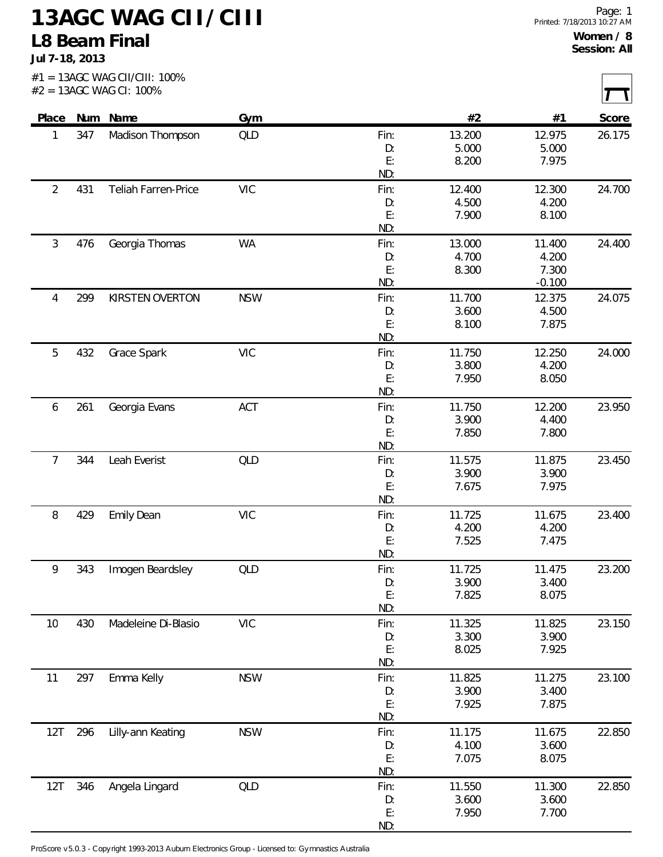## **13AGC WAG CII/CIII L8 Beam Final**

**Jul 7-18, 2013**

|                |     | $#2 = 13AGC$ WAG CI: 100% |                                                                 |           |                |                |        |
|----------------|-----|---------------------------|-----------------------------------------------------------------|-----------|----------------|----------------|--------|
| Place          |     | Num Name                  | Gym                                                             |           | #2             | #1             | Score  |
| 1              | 347 | Madison Thompson          | <b>QLD</b>                                                      | Fin:      | 13.200         | 12.975         | 26.175 |
|                |     |                           |                                                                 | D:<br>E:  | 5.000<br>8.200 | 5.000<br>7.975 |        |
|                |     |                           |                                                                 | ND:       |                |                |        |
| $\overline{2}$ | 431 | Teliah Farren-Price       | <b>VIC</b>                                                      | Fin:      | 12.400         | 12.300         | 24.700 |
|                |     |                           |                                                                 | D:        | 4.500          | 4.200          |        |
|                |     |                           |                                                                 | E:<br>ND: | 7.900          | 8.100          |        |
| $\mathfrak{Z}$ | 476 | Georgia Thomas            | <b>WA</b>                                                       | Fin:      | 13.000         | 11.400         | 24.400 |
|                |     |                           |                                                                 | D:        | 4.700          | 4.200          |        |
|                |     |                           |                                                                 | E:        | 8.300          | 7.300          |        |
|                |     |                           |                                                                 | ND:       |                | $-0.100$       |        |
| 4              | 299 | KIRSTEN OVERTON           | <b>NSW</b>                                                      | Fin:      | 11.700         | 12.375         | 24.075 |
|                |     |                           |                                                                 | D:        | 3.600          | 4.500          |        |
|                |     |                           |                                                                 | E:<br>ND: | 8.100          | 7.875          |        |
| 5              | 432 | Grace Spark               | <b>VIC</b>                                                      | Fin:      | 11.750         | 12.250         | 24.000 |
|                |     |                           |                                                                 | D:        | 3.800          | 4.200          |        |
|                |     |                           |                                                                 | E:        | 7.950          | 8.050          |        |
|                |     |                           |                                                                 | ND:       |                |                |        |
| 6              | 261 | Georgia Evans             | ACT                                                             | Fin:      | 11.750         | 12.200         | 23.950 |
|                |     |                           |                                                                 | D:        | 3.900          | 4.400          |        |
|                |     |                           |                                                                 | E:<br>ND: | 7.850          | 7.800          |        |
| $\overline{7}$ | 344 | Leah Everist              | <b>QLD</b>                                                      | Fin:      | 11.575         | 11.875         | 23.450 |
|                |     |                           |                                                                 | D:        | 3.900          | 3.900          |        |
|                |     |                           |                                                                 | E:        | 7.675          | 7.975          |        |
|                |     |                           |                                                                 | ND:       |                |                |        |
| $\, 8$         | 429 | <b>Emily Dean</b>         | <b>VIC</b>                                                      | Fin:      | 11.725         | 11.675         | 23.400 |
|                |     |                           |                                                                 | D:        | 4.200          | 4.200          |        |
|                |     |                           |                                                                 | E:<br>ND: | 7.525          | 7.475          |        |
| 9              | 343 | Imogen Beardsley          | <b>QLD</b>                                                      | Fin:      | 11.725         | 11.475         | 23.200 |
|                |     |                           |                                                                 | D:        | 3.900          | 3.400          |        |
|                |     |                           |                                                                 | E:        | 7.825          | 8.075          |        |
|                |     |                           |                                                                 | ND:       |                |                |        |
| 10             | 430 | Madeleine Di-Blasio       | $\ensuremath{\mathsf{V}}\xspace\ensuremath{\mathsf{IC}}\xspace$ | Fin:      | 11.325         | 11.825         | 23.150 |
|                |     |                           |                                                                 | D:        | 3.300          | 3.900          |        |
|                |     |                           |                                                                 | E:<br>ND: | 8.025          | 7.925          |        |
| 11             | 297 | Emma Kelly                | <b>NSW</b>                                                      | Fin:      | 11.825         | 11.275         | 23.100 |
|                |     |                           |                                                                 | D:        | 3.900          | 3.400          |        |
|                |     |                           |                                                                 | E:        | 7.925          | 7.875          |        |
|                |     |                           |                                                                 | ND:       |                |                |        |
| 12T            | 296 | Lilly-ann Keating         | <b>NSW</b>                                                      | Fin:      | 11.175         | 11.675         | 22.850 |
|                |     |                           |                                                                 | D:        | 4.100          | 3.600          |        |
|                |     |                           |                                                                 | E:<br>ND: | 7.075          | 8.075          |        |
| 12T            | 346 | Angela Lingard            | <b>QLD</b>                                                      | Fin:      | 11.550         | 11.300         | 22.850 |
|                |     |                           |                                                                 | D:        | 3.600          | 3.600          |        |
|                |     |                           |                                                                 | E:        | 7.950          | 7.700          |        |
|                |     |                           |                                                                 | ND:       |                |                |        |

ProScore v5.0.3 - Copyright 1993-2013 Auburn Electronics Group - Licensed to: Gymnastics Australia